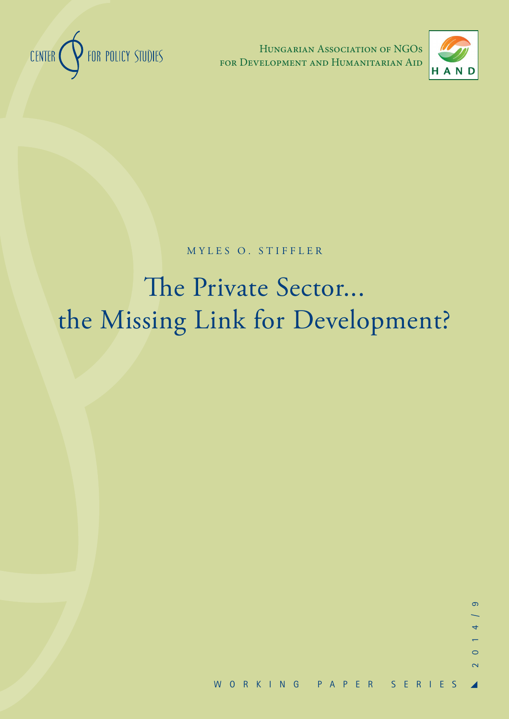

Hungarian Association of NGOs for Development and Humanitarian Aid



MYLES O. STIFFLER

# The Private Sector... the Missing Link for Development?

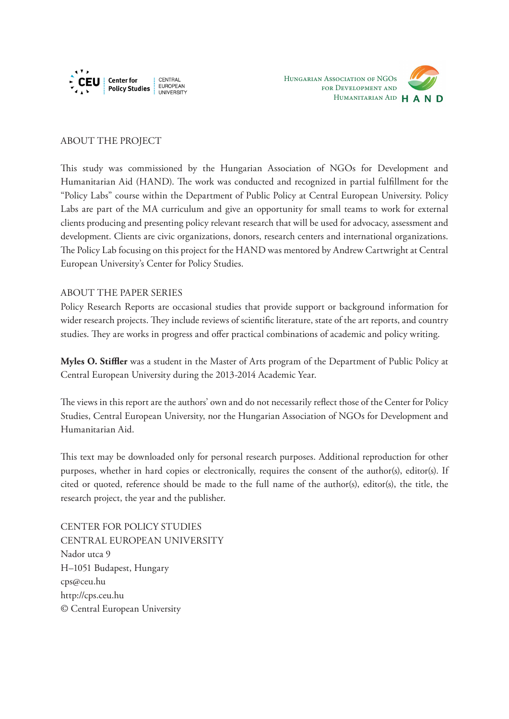



#### ABOUT THE PROJECT

This study was commissioned by the Hungarian Association of NGOs for Development and Humanitarian Aid (HAND). The work was conducted and recognized in partial fulfillment for the "Policy Labs" course within the Department of Public Policy at Central European University. Policy Labs are part of the MA curriculum and give an opportunity for small teams to work for external clients producing and presenting policy relevant research that will be used for advocacy, assessment and development. Clients are civic organizations, donors, research centers and international organizations. The Policy Lab focusing on this project for the HAND was mentored by Andrew Cartwright at Central European University's Center for Policy Studies.

#### ABOUT THE PAPER SERIES

Policy Research Reports are occasional studies that provide support or background information for wider research projects. They include reviews of scientific literature, state of the art reports, and country studies. They are works in progress and offer practical combinations of academic and policy writing.

**Myles O. Stiffler** was a student in the Master of Arts program of the Department of Public Policy at Central European University during the 2013-2014 Academic Year.

The views in this report are the authors' own and do not necessarily reflect those of the Center for Policy Studies, Central European University, nor the Hungarian Association of NGOs for Development and Humanitarian Aid.

This text may be downloaded only for personal research purposes. Additional reproduction for other purposes, whether in hard copies or electronically, requires the consent of the author(s), editor(s). If cited or quoted, reference should be made to the full name of the author(s), editor(s), the title, the research project, the year and the publisher.

CENTER FOR POLICY STUDIES CENTRAL EUROPEAN UNIVERSITY Nador utca 9 H–1051 Budapest, Hungary cps@ceu.hu http://cps.ceu.hu © Central European University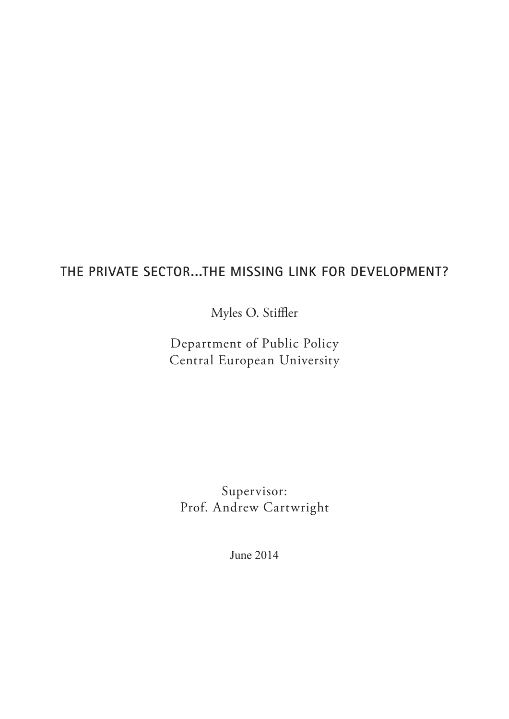## **THE PRIVATE SECTOR...THE MISSING LINK FOR DEVELOPMENT?**

Myles O. Stiffler

Department of Public Policy Central European University

Supervisor: Prof. Andrew Cartwright

June 2014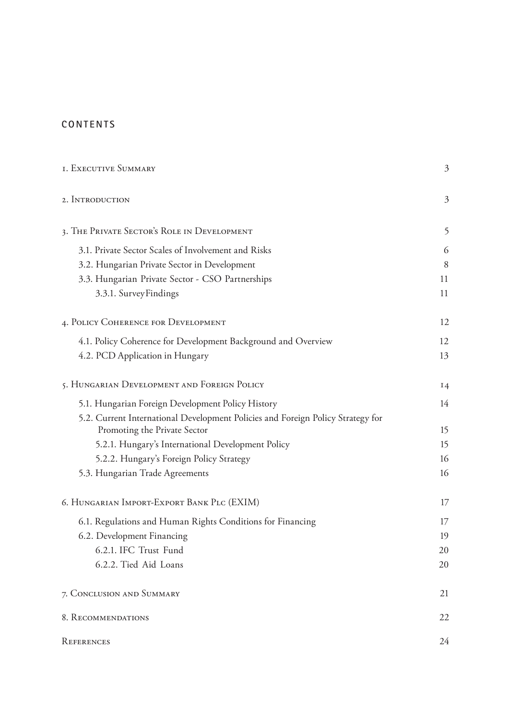### **CONTENTS**

| <b>I. EXECUTIVE SUMMARY</b>                                                                                     | 3  |
|-----------------------------------------------------------------------------------------------------------------|----|
| 2. INTRODUCTION                                                                                                 | 3  |
| 3. THE PRIVATE SECTOR'S ROLE IN DEVELOPMENT                                                                     | 5  |
| 3.1. Private Sector Scales of Involvement and Risks                                                             | 6  |
| 3.2. Hungarian Private Sector in Development                                                                    | 8  |
| 3.3. Hungarian Private Sector - CSO Partnerships                                                                | 11 |
| 3.3.1. Survey Findings                                                                                          | 11 |
| 4. POLICY COHERENCE FOR DEVELOPMENT                                                                             | 12 |
| 4.1. Policy Coherence for Development Background and Overview                                                   | 12 |
| 4.2. PCD Application in Hungary                                                                                 | 13 |
| 5. HUNGARIAN DEVELOPMENT AND FOREIGN POLICY                                                                     | 14 |
| 5.1. Hungarian Foreign Development Policy History                                                               | 14 |
| 5.2. Current International Development Policies and Foreign Policy Strategy for<br>Promoting the Private Sector | 15 |
| 5.2.1. Hungary's International Development Policy                                                               | 15 |
| 5.2.2. Hungary's Foreign Policy Strategy                                                                        | 16 |
| 5.3. Hungarian Trade Agreements                                                                                 | 16 |
| 6. HUNGARIAN IMPORT-EXPORT BANK PLC (EXIM)                                                                      | 17 |
| 6.1. Regulations and Human Rights Conditions for Financing                                                      | 17 |
| 6.2. Development Financing                                                                                      | 19 |
| 6.2.1. IFC Trust Fund                                                                                           | 20 |
| 6.2.2. Tied Aid Loans                                                                                           | 20 |
| 7. CONCLUSION AND SUMMARY                                                                                       | 21 |
| 8. RECOMMENDATIONS                                                                                              | 22 |
| REFERENCES                                                                                                      | 24 |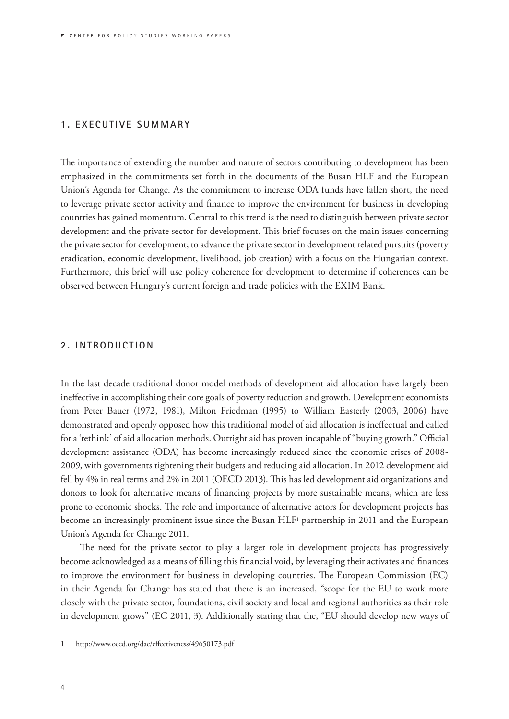#### **1. EXECUTIVE SUMMARY**

The importance of extending the number and nature of sectors contributing to development has been emphasized in the commitments set forth in the documents of the Busan HLF and the European Union's Agenda for Change. As the commitment to increase ODA funds have fallen short, the need to leverage private sector activity and finance to improve the environment for business in developing countries has gained momentum. Central to this trend is the need to distinguish between private sector development and the private sector for development. This brief focuses on the main issues concerning the private sector for development; to advance the private sector in development related pursuits (poverty eradication, economic development, livelihood, job creation) with a focus on the Hungarian context. Furthermore, this brief will use policy coherence for development to determine if coherences can be observed between Hungary's current foreign and trade policies with the EXIM Bank.

#### **2. INTRODUCTION**

In the last decade traditional donor model methods of development aid allocation have largely been ineffective in accomplishing their core goals of poverty reduction and growth. Development economists from Peter Bauer (1972, 1981), Milton Friedman (1995) to William Easterly (2003, 2006) have demonstrated and openly opposed how this traditional model of aid allocation is ineffectual and called for a 'rethink' of aid allocation methods. Outright aid has proven incapable of "buying growth." Official development assistance (ODA) has become increasingly reduced since the economic crises of 2008- 2009, with governments tightening their budgets and reducing aid allocation. In 2012 development aid fell by 4% in real terms and 2% in 2011 (OECD 2013). This has led development aid organizations and donors to look for alternative means of financing projects by more sustainable means, which are less prone to economic shocks. The role and importance of alternative actors for development projects has become an increasingly prominent issue since the Busan HLF1 partnership in 2011 and the European Union's Agenda for Change 2011.

The need for the private sector to play a larger role in development projects has progressively become acknowledged as a means of filling this financial void, by leveraging their activates and finances to improve the environment for business in developing countries. The European Commission (EC) in their Agenda for Change has stated that there is an increased, "scope for the EU to work more closely with the private sector, foundations, civil society and local and regional authorities as their role in development grows" (EC 2011, 3). Additionally stating that the, "EU should develop new ways of

<sup>1</sup> http://www.oecd.org/dac/effectiveness/49650173.pdf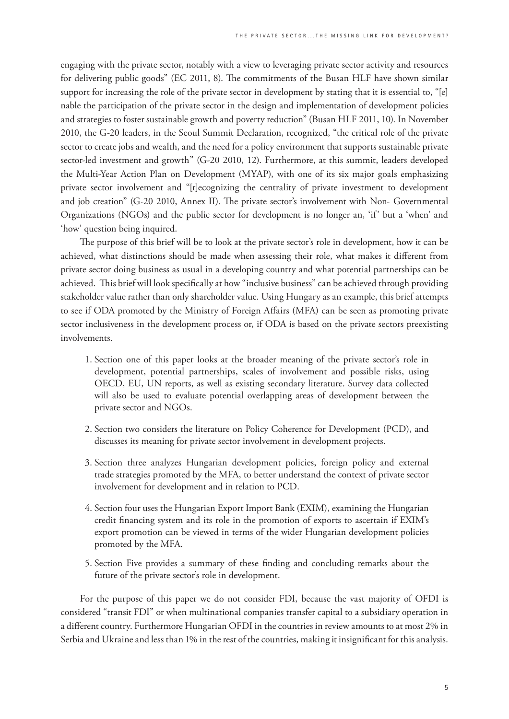engaging with the private sector, notably with a view to leveraging private sector activity and resources for delivering public goods" (EC 2011, 8). The commitments of the Busan HLF have shown similar support for increasing the role of the private sector in development by stating that it is essential to, "[e] nable the participation of the private sector in the design and implementation of development policies and strategies to foster sustainable growth and poverty reduction" (Busan HLF 2011, 10). In November 2010, the G-20 leaders, in the Seoul Summit Declaration, recognized, "the critical role of the private sector to create jobs and wealth, and the need for a policy environment that supports sustainable private sector-led investment and growth" (G-20 2010, 12). Furthermore, at this summit, leaders developed the Multi-Year Action Plan on Development (MYAP), with one of its six major goals emphasizing private sector involvement and "[r]ecognizing the centrality of private investment to development and job creation" (G-20 2010, Annex II). The private sector's involvement with Non- Governmental Organizations (NGOs) and the public sector for development is no longer an, 'if' but a 'when' and 'how' question being inquired.

The purpose of this brief will be to look at the private sector's role in development, how it can be achieved, what distinctions should be made when assessing their role, what makes it different from private sector doing business as usual in a developing country and what potential partnerships can be achieved. This brief will look specifically at how "inclusive business" can be achieved through providing stakeholder value rather than only shareholder value. Using Hungary as an example, this brief attempts to see if ODA promoted by the Ministry of Foreign Affairs (MFA) can be seen as promoting private sector inclusiveness in the development process or, if ODA is based on the private sectors preexisting involvements.

- 1. Section one of this paper looks at the broader meaning of the private sector's role in development, potential partnerships, scales of involvement and possible risks, using OECD, EU, UN reports, as well as existing secondary literature. Survey data collected will also be used to evaluate potential overlapping areas of development between the private sector and NGOs.
- 2. Section two considers the literature on Policy Coherence for Development (PCD), and discusses its meaning for private sector involvement in development projects.
- 3. Section three analyzes Hungarian development policies, foreign policy and external trade strategies promoted by the MFA, to better understand the context of private sector involvement for development and in relation to PCD.
- 4. Section four uses the Hungarian Export Import Bank (EXIM), examining the Hungarian credit financing system and its role in the promotion of exports to ascertain if EXIM's export promotion can be viewed in terms of the wider Hungarian development policies promoted by the MFA.
- 5. Section Five provides a summary of these finding and concluding remarks about the future of the private sector's role in development.

For the purpose of this paper we do not consider FDI, because the vast majority of OFDI is considered "transit FDI" or when multinational companies transfer capital to a subsidiary operation in a different country. Furthermore Hungarian OFDI in the countries in review amounts to at most 2% in Serbia and Ukraine and less than 1% in the rest of the countries, making it insignificant for this analysis.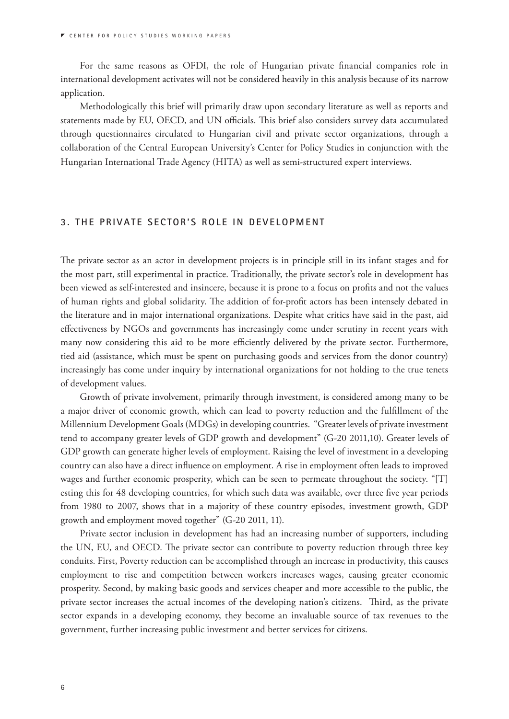For the same reasons as OFDI, the role of Hungarian private financial companies role in international development activates will not be considered heavily in this analysis because of its narrow application.

Methodologically this brief will primarily draw upon secondary literature as well as reports and statements made by EU, OECD, and UN officials. This brief also considers survey data accumulated through questionnaires circulated to Hungarian civil and private sector organizations, through a collaboration of the Central European University's Center for Policy Studies in conjunction with the Hungarian International Trade Agency (HITA) as well as semi-structured expert interviews.

#### **3. THE PRIVATE SECTOR'S ROLE IN DEVELOPMENT**

The private sector as an actor in development projects is in principle still in its infant stages and for the most part, still experimental in practice. Traditionally, the private sector's role in development has been viewed as self-interested and insincere, because it is prone to a focus on profits and not the values of human rights and global solidarity. The addition of for-profit actors has been intensely debated in the literature and in major international organizations. Despite what critics have said in the past, aid effectiveness by NGOs and governments has increasingly come under scrutiny in recent years with many now considering this aid to be more efficiently delivered by the private sector. Furthermore, tied aid (assistance, which must be spent on purchasing goods and services from the donor country) increasingly has come under inquiry by international organizations for not holding to the true tenets of development values.

Growth of private involvement, primarily through investment, is considered among many to be a major driver of economic growth, which can lead to poverty reduction and the fulfillment of the Millennium Development Goals (MDGs) in developing countries. "Greater levels of private investment tend to accompany greater levels of GDP growth and development" (G-20 2011,10). Greater levels of GDP growth can generate higher levels of employment. Raising the level of investment in a developing country can also have a direct influence on employment. A rise in employment often leads to improved wages and further economic prosperity, which can be seen to permeate throughout the society. "[T] esting this for 48 developing countries, for which such data was available, over three five year periods from 1980 to 2007, shows that in a majority of these country episodes, investment growth, GDP growth and employment moved together" (G-20 2011, 11).

Private sector inclusion in development has had an increasing number of supporters, including the UN, EU, and OECD. The private sector can contribute to poverty reduction through three key conduits. First, Poverty reduction can be accomplished through an increase in productivity, this causes employment to rise and competition between workers increases wages, causing greater economic prosperity. Second, by making basic goods and services cheaper and more accessible to the public, the private sector increases the actual incomes of the developing nation's citizens. Third, as the private sector expands in a developing economy, they become an invaluable source of tax revenues to the government, further increasing public investment and better services for citizens.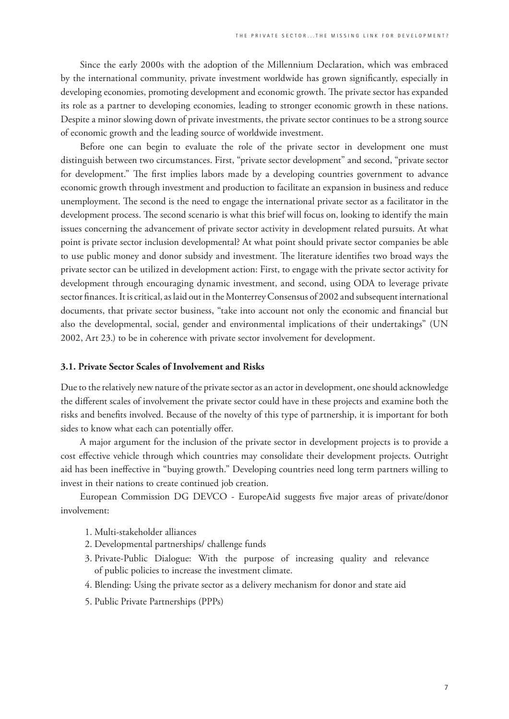Since the early 2000s with the adoption of the Millennium Declaration, which was embraced by the international community, private investment worldwide has grown significantly, especially in developing economies, promoting development and economic growth. The private sector has expanded its role as a partner to developing economies, leading to stronger economic growth in these nations. Despite a minor slowing down of private investments, the private sector continues to be a strong source of economic growth and the leading source of worldwide investment.

Before one can begin to evaluate the role of the private sector in development one must distinguish between two circumstances. First, "private sector development" and second, "private sector for development." The first implies labors made by a developing countries government to advance economic growth through investment and production to facilitate an expansion in business and reduce unemployment. The second is the need to engage the international private sector as a facilitator in the development process. The second scenario is what this brief will focus on, looking to identify the main issues concerning the advancement of private sector activity in development related pursuits. At what point is private sector inclusion developmental? At what point should private sector companies be able to use public money and donor subsidy and investment. The literature identifies two broad ways the private sector can be utilized in development action: First, to engage with the private sector activity for development through encouraging dynamic investment, and second, using ODA to leverage private sector finances. It is critical, as laid out in the Monterrey Consensus of 2002 and subsequent international documents, that private sector business, "take into account not only the economic and financial but also the developmental, social, gender and environmental implications of their undertakings" (UN 2002, Art 23.) to be in coherence with private sector involvement for development.

#### **3.1. Private Sector Scales of Involvement and Risks**

Due to the relatively new nature of the private sector as an actor in development, one should acknowledge the different scales of involvement the private sector could have in these projects and examine both the risks and benefits involved. Because of the novelty of this type of partnership, it is important for both sides to know what each can potentially offer.

A major argument for the inclusion of the private sector in development projects is to provide a cost effective vehicle through which countries may consolidate their development projects. Outright aid has been ineffective in "buying growth." Developing countries need long term partners willing to invest in their nations to create continued job creation.

European Commission DG DEVCO - EuropeAid suggests five major areas of private/donor involvement:

- 1. Multi-stakeholder alliances
- 2. Developmental partnerships/ challenge funds
- 3. Private-Public Dialogue: With the purpose of increasing quality and relevance of public policies to increase the investment climate.
- 4. Blending: Using the private sector as a delivery mechanism for donor and state aid
- 5. Public Private Partnerships (PPPs)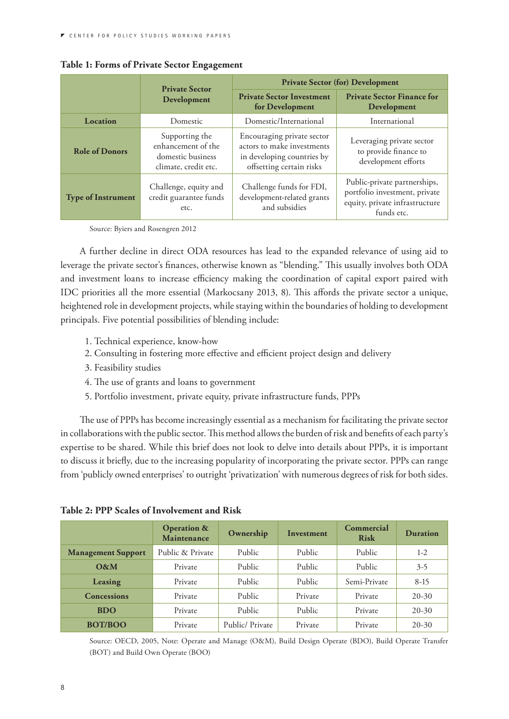|                           | <b>Private Sector</b>                                                             | <b>Private Sector (for) Development</b>                                                                            |                                                                                                               |  |
|---------------------------|-----------------------------------------------------------------------------------|--------------------------------------------------------------------------------------------------------------------|---------------------------------------------------------------------------------------------------------------|--|
| Development               |                                                                                   | <b>Private Sector Investment</b><br>for Development                                                                | <b>Private Sector Finance for</b><br>Development                                                              |  |
| Location                  | Domestic                                                                          | Domestic/International                                                                                             | International                                                                                                 |  |
| <b>Role of Donors</b>     | Supporting the<br>enhancement of the<br>domestic business<br>climate, credit etc. | Encouraging private sector<br>actors to make investments<br>in developing countries by<br>offsetting certain risks | Leveraging private sector<br>to provide finance to<br>development efforts                                     |  |
| <b>Type of Instrument</b> | Challenge, equity and<br>credit guarantee funds<br>etc.                           | Challenge funds for FDI,<br>development-related grants<br>and subsidies                                            | Public-private partnerships,<br>portfolio investment, private<br>equity, private infrastructure<br>funds etc. |  |

#### **Table 1: Forms of Private Sector Engagement**

Source: Byiers and Rosengren 2012

A further decline in direct ODA resources has lead to the expanded relevance of using aid to leverage the private sector's finances, otherwise known as "blending." This usually involves both ODA and investment loans to increase efficiency making the coordination of capital export paired with IDC priorities all the more essential (Markocsany 2013, 8). This affords the private sector a unique, heightened role in development projects, while staying within the boundaries of holding to development principals. Five potential possibilities of blending include:

- 1. Technical experience, know-how
- 2. Consulting in fostering more effective and efficient project design and delivery
- 3. Feasibility studies
- 4. The use of grants and loans to government
- 5. Portfolio investment, private equity, private infrastructure funds, PPPs

The use of PPPs has become increasingly essential as a mechanism for facilitating the private sector in collaborations with the public sector. This method allows the burden of risk and benefits of each party's expertise to be shared. While this brief does not look to delve into details about PPPs, it is important to discuss it briefly, due to the increasing popularity of incorporating the private sector. PPPs can range from 'publicly owned enterprises' to outright 'privatization' with numerous degrees of risk for both sides.

|                           | <b>Operation &amp;</b><br>Maintenance | Ownership       | Investment | Commercial<br><b>Risk</b> | Duration  |
|---------------------------|---------------------------------------|-----------------|------------|---------------------------|-----------|
| <b>Management Support</b> | Public & Private                      | Public          | Public     | Public                    | $1-2$     |
| O&M                       | Private                               | Public          | Public     | Public                    | $3 - 5$   |
| Leasing                   | Private                               | Public          | Public     | Semi-Private              | $8-15$    |
| <b>Concessions</b>        | Private                               | Public          | Private    | Private                   | $20 - 30$ |
| <b>BDO</b>                | Private                               | Public          | Public     | Private                   | $20 - 30$ |
| <b>BOT/BOO</b>            | Private                               | Public/ Private | Private    | Private                   | $20 - 30$ |

| Table 2: PPP Scales of Involvement and Risk |  |
|---------------------------------------------|--|
|---------------------------------------------|--|

Source: OECD, 2005, Note: Operate and Manage (O&M), Build Design Operate (BDO), Build Operate Transfer (BOT) and Build Own Operate (BOO)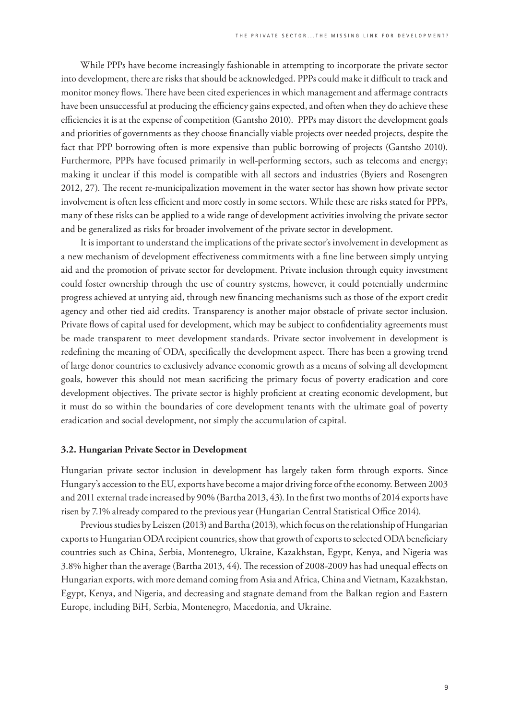While PPPs have become increasingly fashionable in attempting to incorporate the private sector into development, there are risks that should be acknowledged. PPPs could make it difficult to track and monitor money flows. There have been cited experiences in which management and affermage contracts have been unsuccessful at producing the efficiency gains expected, and often when they do achieve these efficiencies it is at the expense of competition (Gantsho 2010). PPPs may distort the development goals and priorities of governments as they choose financially viable projects over needed projects, despite the fact that PPP borrowing often is more expensive than public borrowing of projects (Gantsho 2010). Furthermore, PPPs have focused primarily in well-performing sectors, such as telecoms and energy; making it unclear if this model is compatible with all sectors and industries (Byiers and Rosengren 2012, 27). The recent re-municipalization movement in the water sector has shown how private sector involvement is often less efficient and more costly in some sectors. While these are risks stated for PPPs, many of these risks can be applied to a wide range of development activities involving the private sector and be generalized as risks for broader involvement of the private sector in development.

It is important to understand the implications of the private sector's involvement in development as a new mechanism of development effectiveness commitments with a fine line between simply untying aid and the promotion of private sector for development. Private inclusion through equity investment could foster ownership through the use of country systems, however, it could potentially undermine progress achieved at untying aid, through new financing mechanisms such as those of the export credit agency and other tied aid credits. Transparency is another major obstacle of private sector inclusion. Private flows of capital used for development, which may be subject to confidentiality agreements must be made transparent to meet development standards. Private sector involvement in development is redefining the meaning of ODA, specifically the development aspect. There has been a growing trend of large donor countries to exclusively advance economic growth as a means of solving all development goals, however this should not mean sacrificing the primary focus of poverty eradication and core development objectives. The private sector is highly proficient at creating economic development, but it must do so within the boundaries of core development tenants with the ultimate goal of poverty eradication and social development, not simply the accumulation of capital.

#### **3.2. Hungarian Private Sector in Development**

Hungarian private sector inclusion in development has largely taken form through exports. Since Hungary's accession to the EU, exports have become a major driving force of the economy. Between 2003 and 2011 external trade increased by 90% (Bartha 2013, 43). In the first two months of 2014 exports have risen by 7.1% already compared to the previous year (Hungarian Central Statistical Office 2014).

Previous studies by Leiszen (2013) and Bartha (2013), which focus on the relationship of Hungarian exports to Hungarian ODA recipient countries, show that growth of exports to selected ODA beneficiary countries such as China, Serbia, Montenegro, Ukraine, Kazakhstan, Egypt, Kenya, and Nigeria was 3.8% higher than the average (Bartha 2013, 44). The recession of 2008-2009 has had unequal effects on Hungarian exports, with more demand coming from Asia and Africa, China and Vietnam, Kazakhstan, Egypt, Kenya, and Nigeria, and decreasing and stagnate demand from the Balkan region and Eastern Europe, including BiH, Serbia, Montenegro, Macedonia, and Ukraine.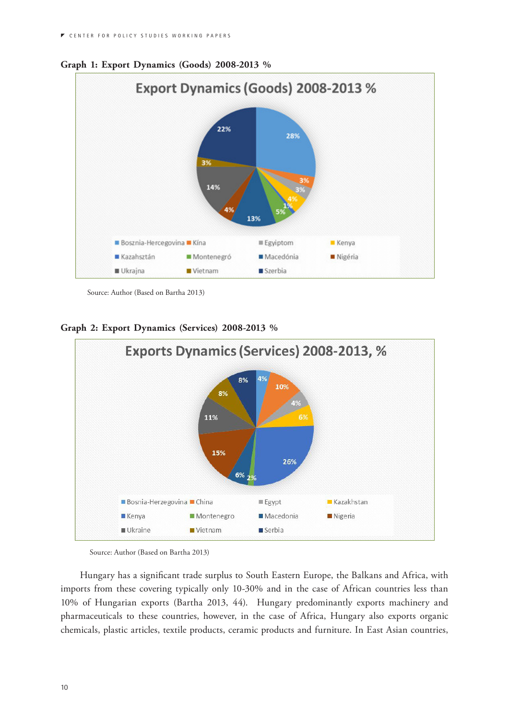

**Graph 1: Export Dynamics (Goods) 2008-2013 %**

Source: Author (Based on Bartha 2013)

**Graph 2: Export Dynamics (Services) 2008-2013 %**



Source: Author (Based on Bartha 2013)

Hungary has a significant trade surplus to South Eastern Europe, the Balkans and Africa, with imports from these covering typically only 10-30% and in the case of African countries less than 10% of Hungarian exports (Bartha 2013, 44). Hungary predominantly exports machinery and pharmaceuticals to these countries, however, in the case of Africa, Hungary also exports organic chemicals, plastic articles, textile products, ceramic products and furniture. In East Asian countries,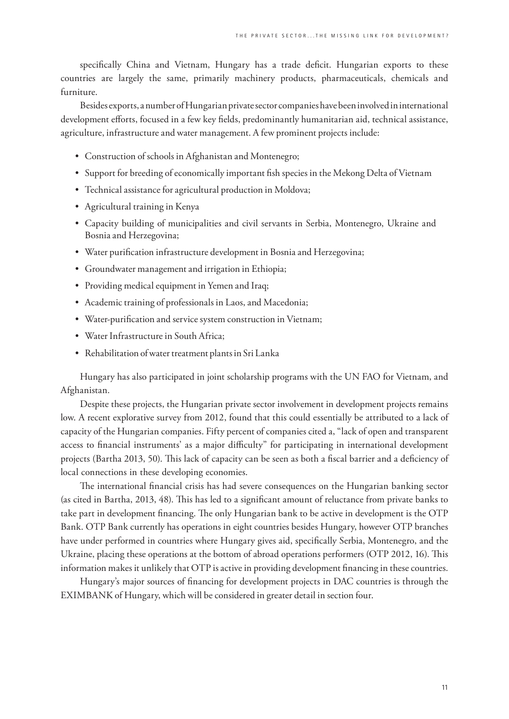specifically China and Vietnam, Hungary has a trade deficit. Hungarian exports to these countries are largely the same, primarily machinery products, pharmaceuticals, chemicals and furniture.

Besides exports, a number of Hungarian private sector companies have been involved in international development efforts, focused in a few key fields, predominantly humanitarian aid, technical assistance, agriculture, infrastructure and water management. A few prominent projects include:

- Construction of schools in Afghanistan and Montenegro;
- Support for breeding of economically important fish species in the Mekong Delta of Vietnam
- Technical assistance for agricultural production in Moldova;
- • Agricultural training in Kenya
- • Capacity building of municipalities and civil servants in Serbia, Montenegro, Ukraine and Bosnia and Herzegovina;
- Water purification infrastructure development in Bosnia and Herzegovina;
- • Groundwater management and irrigation in Ethiopia;
- Providing medical equipment in Yemen and Iraq;
- Academic training of professionals in Laos, and Macedonia;
- • Water-purification and service system construction in Vietnam;
- • Water Infrastructure in South Africa;
- • Rehabilitation of water treatment plants in Sri Lanka

Hungary has also participated in joint scholarship programs with the UN FAO for Vietnam, and Afghanistan.

Despite these projects, the Hungarian private sector involvement in development projects remains low. A recent explorative survey from 2012, found that this could essentially be attributed to a lack of capacity of the Hungarian companies. Fifty percent of companies cited a, "lack of open and transparent access to financial instruments' as a major difficulty" for participating in international development projects (Bartha 2013, 50). This lack of capacity can be seen as both a fiscal barrier and a deficiency of local connections in these developing economies.

The international financial crisis has had severe consequences on the Hungarian banking sector (as cited in Bartha, 2013, 48). This has led to a significant amount of reluctance from private banks to take part in development financing. The only Hungarian bank to be active in development is the OTP Bank. OTP Bank currently has operations in eight countries besides Hungary, however OTP branches have under performed in countries where Hungary gives aid, specifically Serbia, Montenegro, and the Ukraine, placing these operations at the bottom of abroad operations performers (OTP 2012, 16). This information makes it unlikely that OTP is active in providing development financing in these countries.

Hungary's major sources of financing for development projects in DAC countries is through the EXIMBANK of Hungary, which will be considered in greater detail in section four.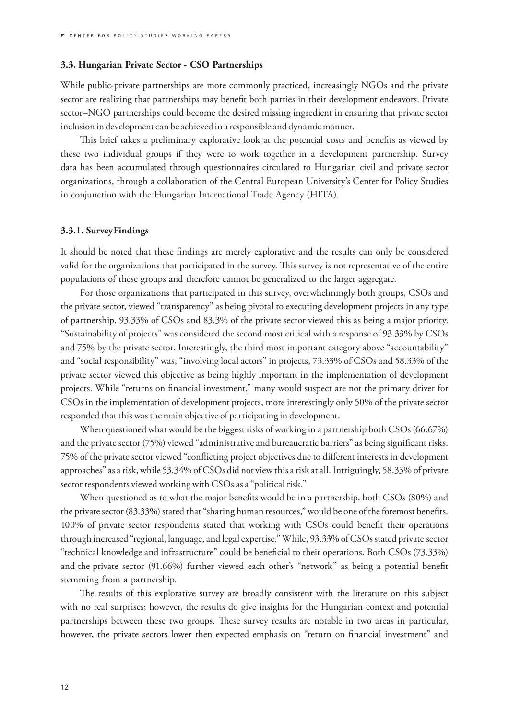#### **3.3. Hungarian Private Sector - CSO Partnerships**

While public-private partnerships are more commonly practiced, increasingly NGOs and the private sector are realizing that partnerships may benefit both parties in their development endeavors. Private sector–NGO partnerships could become the desired missing ingredient in ensuring that private sector inclusion in development can be achieved in a responsible and dynamic manner.

This brief takes a preliminary explorative look at the potential costs and benefits as viewed by these two individual groups if they were to work together in a development partnership. Survey data has been accumulated through questionnaires circulated to Hungarian civil and private sector organizations, through a collaboration of the Central European University's Center for Policy Studies in conjunction with the Hungarian International Trade Agency (HITA).

#### **3.3.1. Survey Findings**

It should be noted that these findings are merely explorative and the results can only be considered valid for the organizations that participated in the survey. This survey is not representative of the entire populations of these groups and therefore cannot be generalized to the larger aggregate.

For those organizations that participated in this survey, overwhelmingly both groups, CSOs and the private sector, viewed "transparency" as being pivotal to executing development projects in any type of partnership. 93.33% of CSOs and 83.3% of the private sector viewed this as being a major priority. "Sustainability of projects" was considered the second most critical with a response of 93.33% by CSOs and 75% by the private sector. Interestingly, the third most important category above "accountability" and "social responsibility" was, "involving local actors" in projects, 73.33% of CSOs and 58.33% of the private sector viewed this objective as being highly important in the implementation of development projects. While "returns on financial investment," many would suspect are not the primary driver for CSOs in the implementation of development projects, more interestingly only 50% of the private sector responded that this was the main objective of participating in development.

When questioned what would be the biggest risks of working in a partnership both CSOs (66.67%) and the private sector (75%) viewed "administrative and bureaucratic barriers" as being significant risks. 75% of the private sector viewed "conflicting project objectives due to different interests in development approaches" as a risk, while 53.34% of CSOs did not view this a risk at all. Intriguingly, 58.33% of private sector respondents viewed working with CSOs as a "political risk."

When questioned as to what the major benefits would be in a partnership, both CSOs (80%) and the private sector (83.33%) stated that "sharing human resources," would be one of the foremost benefits. 100% of private sector respondents stated that working with CSOs could benefit their operations through increased "regional, language, and legal expertise." While, 93.33% of CSOs stated private sector "technical knowledge and infrastructure" could be beneficial to their operations. Both CSOs (73.33%) and the private sector (91.66%) further viewed each other's "network" as being a potential benefit stemming from a partnership.

The results of this explorative survey are broadly consistent with the literature on this subject with no real surprises; however, the results do give insights for the Hungarian context and potential partnerships between these two groups. These survey results are notable in two areas in particular, however, the private sectors lower then expected emphasis on "return on financial investment" and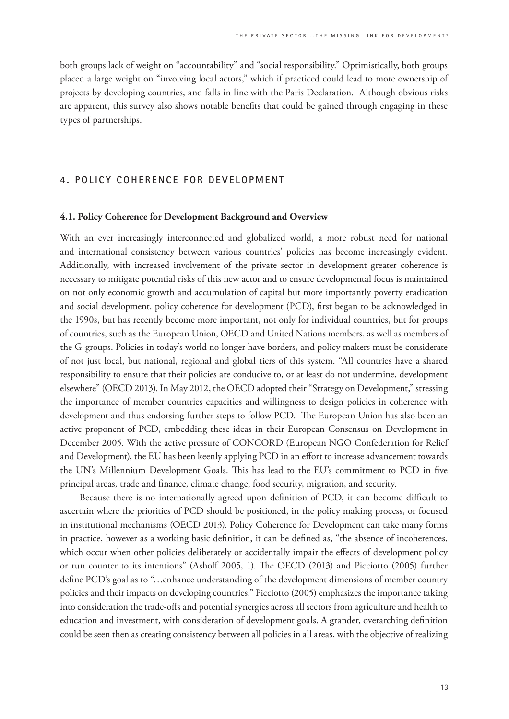both groups lack of weight on "accountability" and "social responsibility." Optimistically, both groups placed a large weight on "involving local actors," which if practiced could lead to more ownership of projects by developing countries, and falls in line with the Paris Declaration. Although obvious risks are apparent, this survey also shows notable benefits that could be gained through engaging in these types of partnerships.

#### **4. POLICY COHERENCE FOR DEVELOPMENT**

#### **4.1. Policy Coherence for Development Background and Overview**

With an ever increasingly interconnected and globalized world, a more robust need for national and international consistency between various countries' policies has become increasingly evident. Additionally, with increased involvement of the private sector in development greater coherence is necessary to mitigate potential risks of this new actor and to ensure developmental focus is maintained on not only economic growth and accumulation of capital but more importantly poverty eradication and social development. policy coherence for development (PCD), first began to be acknowledged in the 1990s, but has recently become more important, not only for individual countries, but for groups of countries, such as the European Union, OECD and United Nations members, as well as members of the G-groups. Policies in today's world no longer have borders, and policy makers must be considerate of not just local, but national, regional and global tiers of this system. "All countries have a shared responsibility to ensure that their policies are conducive to, or at least do not undermine, development elsewhere" (OECD 2013). In May 2012, the OECD adopted their "Strategy on Development," stressing the importance of member countries capacities and willingness to design policies in coherence with development and thus endorsing further steps to follow PCD. The European Union has also been an active proponent of PCD, embedding these ideas in their European Consensus on Development in December 2005. With the active pressure of CONCORD (European NGO Confederation for Relief and Development), the EU has been keenly applying PCD in an effort to increase advancement towards the UN's Millennium Development Goals. This has lead to the EU's commitment to PCD in five principal areas, trade and finance, climate change, food security, migration, and security.

Because there is no internationally agreed upon definition of PCD, it can become difficult to ascertain where the priorities of PCD should be positioned, in the policy making process, or focused in institutional mechanisms (OECD 2013). Policy Coherence for Development can take many forms in practice, however as a working basic definition, it can be defined as, "the absence of incoherences, which occur when other policies deliberately or accidentally impair the effects of development policy or run counter to its intentions" (Ashoff 2005, 1). The OECD (2013) and Picciotto (2005) further define PCD's goal as to "…enhance understanding of the development dimensions of member country policies and their impacts on developing countries." Picciotto (2005) emphasizes the importance taking into consideration the trade-offs and potential synergies across all sectors from agriculture and health to education and investment, with consideration of development goals. A grander, overarching definition could be seen then as creating consistency between all policies in all areas, with the objective of realizing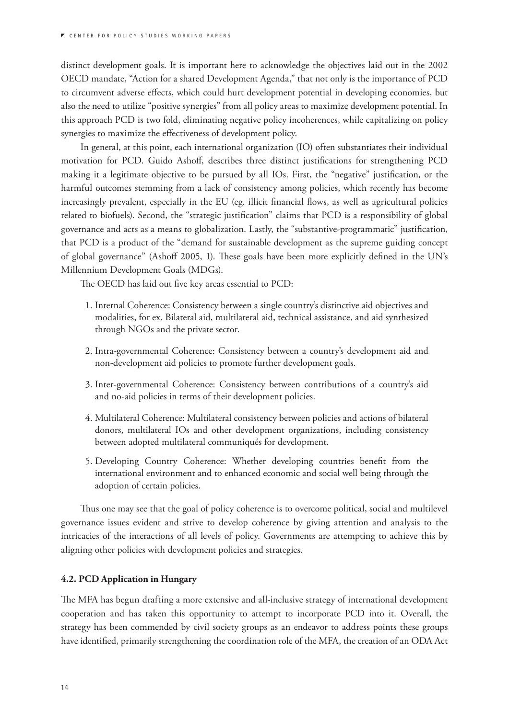distinct development goals. It is important here to acknowledge the objectives laid out in the 2002 OECD mandate, "Action for a shared Development Agenda," that not only is the importance of PCD to circumvent adverse effects, which could hurt development potential in developing economies, but also the need to utilize "positive synergies" from all policy areas to maximize development potential. In this approach PCD is two fold, eliminating negative policy incoherences, while capitalizing on policy synergies to maximize the effectiveness of development policy.

In general, at this point, each international organization (IO) often substantiates their individual motivation for PCD. Guido Ashoff, describes three distinct justifications for strengthening PCD making it a legitimate objective to be pursued by all IOs. First, the "negative" justification, or the harmful outcomes stemming from a lack of consistency among policies, which recently has become increasingly prevalent, especially in the EU (eg. illicit financial flows, as well as agricultural policies related to biofuels). Second, the "strategic justification" claims that PCD is a responsibility of global governance and acts as a means to globalization. Lastly, the "substantive-programmatic" justification, that PCD is a product of the "demand for sustainable development as the supreme guiding concept of global governance" (Ashoff 2005, 1). These goals have been more explicitly defined in the UN's Millennium Development Goals (MDGs).

The OECD has laid out five key areas essential to PCD:

- 1. Internal Coherence: Consistency between a single country's distinctive aid objectives and modalities, for ex. Bilateral aid, multilateral aid, technical assistance, and aid synthesized through NGOs and the private sector.
- 2. Intra-governmental Coherence: Consistency between a country's development aid and non-development aid policies to promote further development goals.
- 3. Inter-governmental Coherence: Consistency between contributions of a country's aid and no-aid policies in terms of their development policies.
- 4. Multilateral Coherence: Multilateral consistency between policies and actions of bilateral donors, multilateral IOs and other development organizations, including consistency between adopted multilateral communiqués for development.
- 5. Developing Country Coherence: Whether developing countries benefit from the international environment and to enhanced economic and social well being through the adoption of certain policies.

Thus one may see that the goal of policy coherence is to overcome political, social and multilevel governance issues evident and strive to develop coherence by giving attention and analysis to the intricacies of the interactions of all levels of policy. Governments are attempting to achieve this by aligning other policies with development policies and strategies.

#### **4.2. PCD Application in Hungary**

The MFA has begun drafting a more extensive and all-inclusive strategy of international development cooperation and has taken this opportunity to attempt to incorporate PCD into it. Overall, the strategy has been commended by civil society groups as an endeavor to address points these groups have identified, primarily strengthening the coordination role of the MFA, the creation of an ODA Act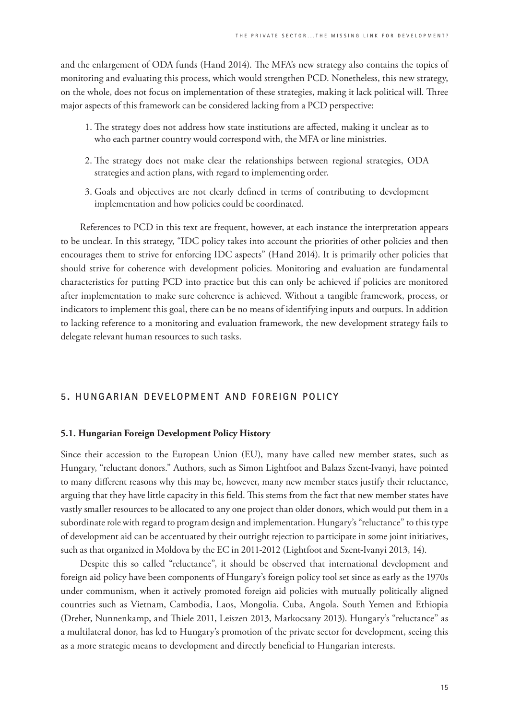and the enlargement of ODA funds (Hand 2014). The MFA's new strategy also contains the topics of monitoring and evaluating this process, which would strengthen PCD. Nonetheless, this new strategy, on the whole, does not focus on implementation of these strategies, making it lack political will. Three major aspects of this framework can be considered lacking from a PCD perspective:

- 1. The strategy does not address how state institutions are affected, making it unclear as to who each partner country would correspond with, the MFA or line ministries.
- 2. The strategy does not make clear the relationships between regional strategies, ODA strategies and action plans, with regard to implementing order.
- 3. Goals and objectives are not clearly defined in terms of contributing to development implementation and how policies could be coordinated.

References to PCD in this text are frequent, however, at each instance the interpretation appears to be unclear. In this strategy, "IDC policy takes into account the priorities of other policies and then encourages them to strive for enforcing IDC aspects" (Hand 2014). It is primarily other policies that should strive for coherence with development policies. Monitoring and evaluation are fundamental characteristics for putting PCD into practice but this can only be achieved if policies are monitored after implementation to make sure coherence is achieved. Without a tangible framework, process, or indicators to implement this goal, there can be no means of identifying inputs and outputs. In addition to lacking reference to a monitoring and evaluation framework, the new development strategy fails to delegate relevant human resources to such tasks.

#### **5. HUNGARIAN DEVELOPMENT AND FOREIGN POLICY**

#### **5.1. Hungarian Foreign Development Policy History**

Since their accession to the European Union (EU), many have called new member states, such as Hungary, "reluctant donors." Authors, such as Simon Lightfoot and Balazs Szent-Ivanyi, have pointed to many different reasons why this may be, however, many new member states justify their reluctance, arguing that they have little capacity in this field. This stems from the fact that new member states have vastly smaller resources to be allocated to any one project than older donors, which would put them in a subordinate role with regard to program design and implementation. Hungary's "reluctance" to this type of development aid can be accentuated by their outright rejection to participate in some joint initiatives, such as that organized in Moldova by the EC in 2011-2012 (Lightfoot and Szent-Ivanyi 2013, 14).

Despite this so called "reluctance", it should be observed that international development and foreign aid policy have been components of Hungary's foreign policy tool set since as early as the 1970s under communism, when it actively promoted foreign aid policies with mutually politically aligned countries such as Vietnam, Cambodia, Laos, Mongolia, Cuba, Angola, South Yemen and Ethiopia (Dreher, Nunnenkamp, and Thiele 2011, Leiszen 2013, Markocsany 2013). Hungary's "reluctance" as a multilateral donor, has led to Hungary's promotion of the private sector for development, seeing this as a more strategic means to development and directly beneficial to Hungarian interests.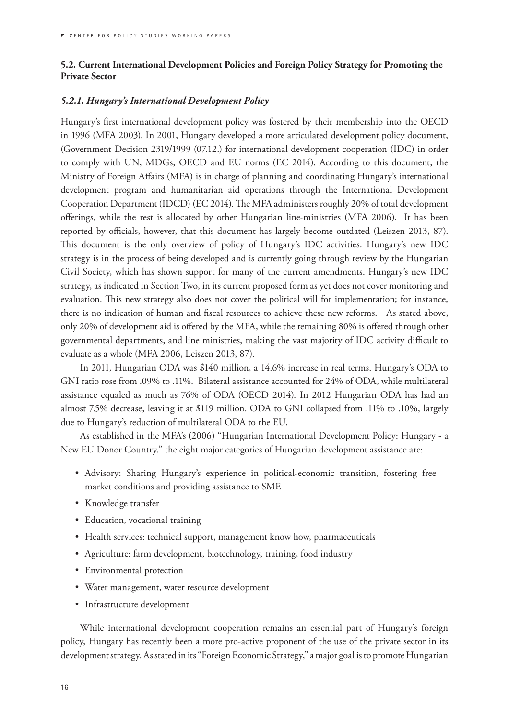#### **5.2. Current International Development Policies and Foreign Policy Strategy for Promoting the Private Sector**

#### *5.2.1. Hungary's International Development Policy*

Hungary's first international development policy was fostered by their membership into the OECD in 1996 (MFA 2003). In 2001, Hungary developed a more articulated development policy document, (Government Decision 2319/1999 (07.12.) for international development cooperation (IDC) in order to comply with UN, MDGs, OECD and EU norms (EC 2014). According to this document, the Ministry of Foreign Affairs (MFA) is in charge of planning and coordinating Hungary's international development program and humanitarian aid operations through the International Development Cooperation Department (IDCD) (EC 2014). The MFA administers roughly 20% of total development offerings, while the rest is allocated by other Hungarian line-ministries (MFA 2006). It has been reported by officials, however, that this document has largely become outdated (Leiszen 2013, 87). This document is the only overview of policy of Hungary's IDC activities. Hungary's new IDC strategy is in the process of being developed and is currently going through review by the Hungarian Civil Society, which has shown support for many of the current amendments. Hungary's new IDC strategy, as indicated in Section Two, in its current proposed form as yet does not cover monitoring and evaluation. This new strategy also does not cover the political will for implementation; for instance, there is no indication of human and fiscal resources to achieve these new reforms. As stated above, only 20% of development aid is offered by the MFA, while the remaining 80% is offered through other governmental departments, and line ministries, making the vast majority of IDC activity difficult to evaluate as a whole (MFA 2006, Leiszen 2013, 87).

In 2011, Hungarian ODA was \$140 million, a 14.6% increase in real terms. Hungary's ODA to GNI ratio rose from .09% to .11%. Bilateral assistance accounted for 24% of ODA, while multilateral assistance equaled as much as 76% of ODA (OECD 2014). In 2012 Hungarian ODA has had an almost 7.5% decrease, leaving it at \$119 million. ODA to GNI collapsed from .11% to .10%, largely due to Hungary's reduction of multilateral ODA to the EU.

As established in the MFA's (2006) "Hungarian International Development Policy: Hungary - a New EU Donor Country," the eight major categories of Hungarian development assistance are:

- • Advisory: Sharing Hungary's experience in political-economic transition, fostering free market conditions and providing assistance to SME
- • Knowledge transfer
- Education, vocational training
- Health services: technical support, management know how, pharmaceuticals
- • Agriculture: farm development, biotechnology, training, food industry
- Environmental protection
- • Water management, water resource development
- • Infrastructure development

While international development cooperation remains an essential part of Hungary's foreign policy, Hungary has recently been a more pro-active proponent of the use of the private sector in its development strategy. As stated in its "Foreign Economic Strategy," a major goal is to promote Hungarian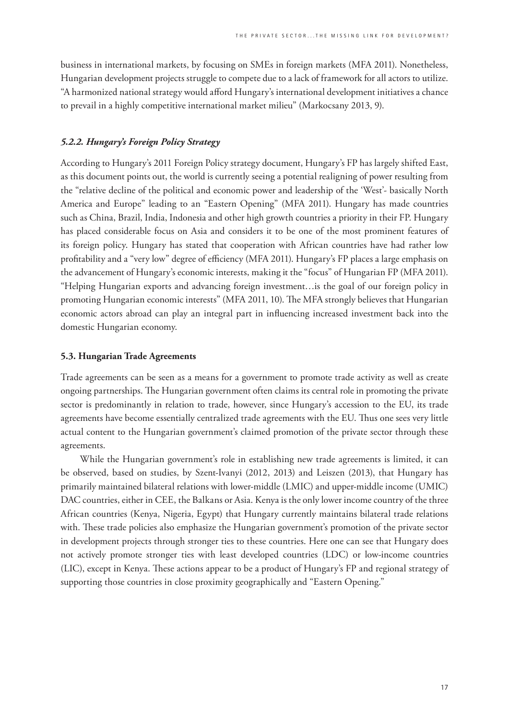business in international markets, by focusing on SMEs in foreign markets (MFA 2011). Nonetheless, Hungarian development projects struggle to compete due to a lack of framework for all actors to utilize. "A harmonized national strategy would afford Hungary's international development initiatives a chance to prevail in a highly competitive international market milieu" (Markocsany 2013, 9).

#### *5.2.2. Hungary's Foreign Policy Strategy*

According to Hungary's 2011 Foreign Policy strategy document, Hungary's FP has largely shifted East, as this document points out, the world is currently seeing a potential realigning of power resulting from the "relative decline of the political and economic power and leadership of the 'West'- basically North America and Europe" leading to an "Eastern Opening" (MFA 2011). Hungary has made countries such as China, Brazil, India, Indonesia and other high growth countries a priority in their FP. Hungary has placed considerable focus on Asia and considers it to be one of the most prominent features of its foreign policy. Hungary has stated that cooperation with African countries have had rather low profitability and a "very low" degree of efficiency (MFA 2011). Hungary's FP places a large emphasis on the advancement of Hungary's economic interests, making it the "focus" of Hungarian FP (MFA 2011). "Helping Hungarian exports and advancing foreign investment…is the goal of our foreign policy in promoting Hungarian economic interests" (MFA 2011, 10). The MFA strongly believes that Hungarian economic actors abroad can play an integral part in influencing increased investment back into the domestic Hungarian economy.

#### **5.3. Hungarian Trade Agreements**

Trade agreements can be seen as a means for a government to promote trade activity as well as create ongoing partnerships. The Hungarian government often claims its central role in promoting the private sector is predominantly in relation to trade, however, since Hungary's accession to the EU, its trade agreements have become essentially centralized trade agreements with the EU. Thus one sees very little actual content to the Hungarian government's claimed promotion of the private sector through these agreements.

While the Hungarian government's role in establishing new trade agreements is limited, it can be observed, based on studies, by Szent-Ivanyi (2012, 2013) and Leiszen (2013), that Hungary has primarily maintained bilateral relations with lower-middle (LMIC) and upper-middle income (UMIC) DAC countries, either in CEE, the Balkans or Asia. Kenya is the only lower income country of the three African countries (Kenya, Nigeria, Egypt) that Hungary currently maintains bilateral trade relations with. These trade policies also emphasize the Hungarian government's promotion of the private sector in development projects through stronger ties to these countries. Here one can see that Hungary does not actively promote stronger ties with least developed countries (LDC) or low-income countries (LIC), except in Kenya. These actions appear to be a product of Hungary's FP and regional strategy of supporting those countries in close proximity geographically and "Eastern Opening."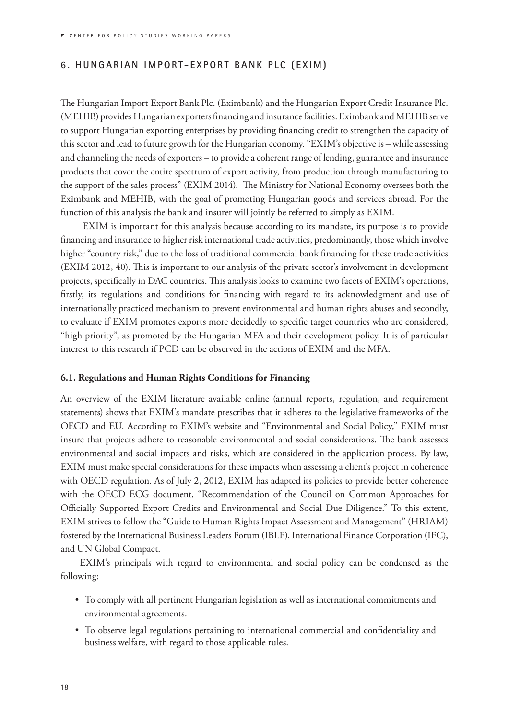#### **6. HUNGARIAN IMPORT-EXPORT BANK PLC (EXIM)**

The Hungarian Import-Export Bank Plc. (Eximbank) and the Hungarian Export Credit Insurance Plc. (MEHIB) provides Hungarian exporters financing and insurance facilities. Eximbank and MEHIB serve to support Hungarian exporting enterprises by providing financing credit to strengthen the capacity of this sector and lead to future growth for the Hungarian economy. "EXIM's objective is – while assessing and channeling the needs of exporters – to provide a coherent range of lending, guarantee and insurance products that cover the entire spectrum of export activity, from production through manufacturing to the support of the sales process" (EXIM 2014). The Ministry for National Economy oversees both the Eximbank and MEHIB, with the goal of promoting Hungarian goods and services abroad. For the function of this analysis the bank and insurer will jointly be referred to simply as EXIM.

 EXIM is important for this analysis because according to its mandate, its purpose is to provide financing and insurance to higher risk international trade activities, predominantly, those which involve higher "country risk," due to the loss of traditional commercial bank financing for these trade activities (EXIM 2012, 40). This is important to our analysis of the private sector's involvement in development projects, specifically in DAC countries. This analysis looks to examine two facets of EXIM's operations, firstly, its regulations and conditions for financing with regard to its acknowledgment and use of internationally practiced mechanism to prevent environmental and human rights abuses and secondly, to evaluate if EXIM promotes exports more decidedly to specific target countries who are considered, "high priority", as promoted by the Hungarian MFA and their development policy. It is of particular interest to this research if PCD can be observed in the actions of EXIM and the MFA.

#### **6.1. Regulations and Human Rights Conditions for Financing**

An overview of the EXIM literature available online (annual reports, regulation, and requirement statements) shows that EXIM's mandate prescribes that it adheres to the legislative frameworks of the OECD and EU. According to EXIM's website and "Environmental and Social Policy," EXIM must insure that projects adhere to reasonable environmental and social considerations. The bank assesses environmental and social impacts and risks, which are considered in the application process. By law, EXIM must make special considerations for these impacts when assessing a client's project in coherence with OECD regulation. As of July 2, 2012, EXIM has adapted its policies to provide better coherence with the OECD ECG document, "Recommendation of the Council on Common Approaches for Officially Supported Export Credits and Environmental and Social Due Diligence." To this extent, EXIM strives to follow the "Guide to Human Rights Impact Assessment and Management" (HRIAM) fostered by the International Business Leaders Forum (IBLF), International Finance Corporation (IFC), and UN Global Compact.

EXIM's principals with regard to environmental and social policy can be condensed as the following:

- • To comply with all pertinent Hungarian legislation as well as international commitments and environmental agreements.
- • To observe legal regulations pertaining to international commercial and confidentiality and business welfare, with regard to those applicable rules.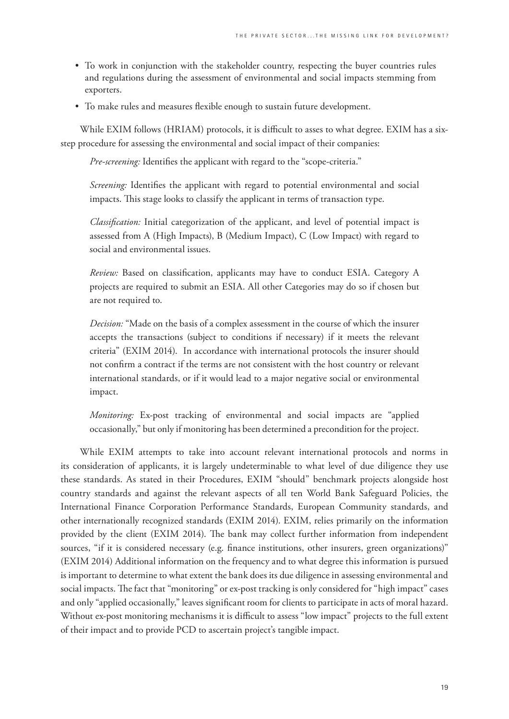- To work in conjunction with the stakeholder country, respecting the buyer countries rules and regulations during the assessment of environmental and social impacts stemming from exporters.
- • To make rules and measures flexible enough to sustain future development.

While EXIM follows (HRIAM) protocols, it is difficult to asses to what degree. EXIM has a sixstep procedure for assessing the environmental and social impact of their companies:

*Pre-screening:* Identifies the applicant with regard to the "scope-criteria."

*Screening:* Identifies the applicant with regard to potential environmental and social impacts. This stage looks to classify the applicant in terms of transaction type.

*Classification:* Initial categorization of the applicant, and level of potential impact is assessed from A (High Impacts), B (Medium Impact), C (Low Impact) with regard to social and environmental issues.

*Review:* Based on classification, applicants may have to conduct ESIA. Category A projects are required to submit an ESIA. All other Categories may do so if chosen but are not required to.

*Decision:* "Made on the basis of a complex assessment in the course of which the insurer accepts the transactions (subject to conditions if necessary) if it meets the relevant criteria" (EXIM 2014). In accordance with international protocols the insurer should not confirm a contract if the terms are not consistent with the host country or relevant international standards, or if it would lead to a major negative social or environmental impact.

*Monitoring:* Ex-post tracking of environmental and social impacts are "applied occasionally," but only if monitoring has been determined a precondition for the project.

While EXIM attempts to take into account relevant international protocols and norms in its consideration of applicants, it is largely undeterminable to what level of due diligence they use these standards. As stated in their Procedures, EXIM "should" benchmark projects alongside host country standards and against the relevant aspects of all ten World Bank Safeguard Policies, the International Finance Corporation Performance Standards, European Community standards, and other internationally recognized standards (EXIM 2014). EXIM, relies primarily on the information provided by the client (EXIM 2014). The bank may collect further information from independent sources, "if it is considered necessary (e.g. finance institutions, other insurers, green organizations)" (EXIM 2014) Additional information on the frequency and to what degree this information is pursued is important to determine to what extent the bank does its due diligence in assessing environmental and social impacts. The fact that "monitoring" or ex-post tracking is only considered for "high impact" cases and only "applied occasionally," leaves significant room for clients to participate in acts of moral hazard. Without ex-post monitoring mechanisms it is difficult to assess "low impact" projects to the full extent of their impact and to provide PCD to ascertain project's tangible impact.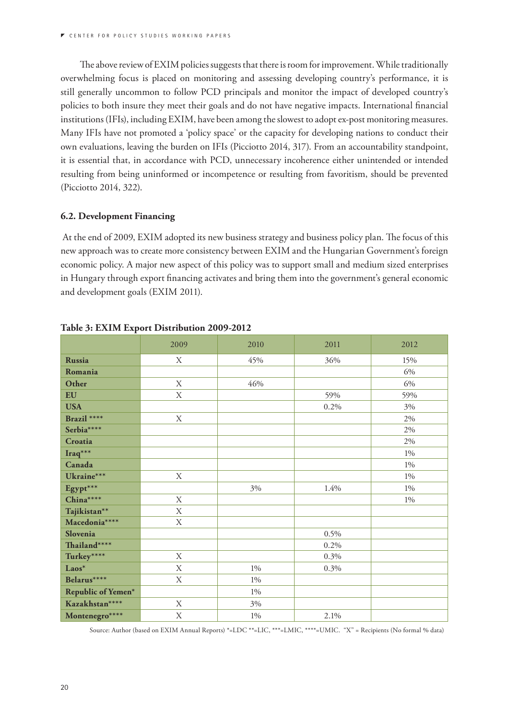The above review of EXIM policies suggests that there is room for improvement. While traditionally overwhelming focus is placed on monitoring and assessing developing country's performance, it is still generally uncommon to follow PCD principals and monitor the impact of developed country's policies to both insure they meet their goals and do not have negative impacts. International financial institutions (IFIs), including EXIM, have been among the slowest to adopt ex-post monitoring measures. Many IFIs have not promoted a 'policy space' or the capacity for developing nations to conduct their own evaluations, leaving the burden on IFIs (Picciotto 2014, 317). From an accountability standpoint, it is essential that, in accordance with PCD, unnecessary incoherence either unintended or intended resulting from being uninformed or incompetence or resulting from favoritism, should be prevented (Picciotto 2014, 322).

#### **6.2. Development Financing**

 At the end of 2009, EXIM adopted its new business strategy and business policy plan. The focus of this new approach was to create more consistency between EXIM and the Hungarian Government's foreign economic policy. A major new aspect of this policy was to support small and medium sized enterprises in Hungary through export financing activates and bring them into the government's general economic and development goals (EXIM 2011).

|                    | 2009        | 2010  | 2011    | 2012  |
|--------------------|-------------|-------|---------|-------|
| <b>Russia</b>      | X           | 45%   | 36%     | 15%   |
| Romania            |             |       |         | 6%    |
| Other              | X           | 46%   |         | 6%    |
| EU                 | $\mathbf X$ |       | 59%     | 59%   |
| <b>USA</b>         |             |       | $0.2\%$ | 3%    |
| Brazil ****        | $\mathbf X$ |       |         | $2\%$ |
| Serbia****         |             |       |         | 2%    |
| Croatia            |             |       |         | 2%    |
| Iraq***            |             |       |         | $1\%$ |
| Canada             |             |       |         | $1\%$ |
| Ukraine***         | X           |       |         | 1%    |
| Egypt***           |             | 3%    | 1.4%    | 1%    |
| China****          | X           |       |         | $1\%$ |
| Tajikistan**       | X           |       |         |       |
| Macedonia ****     | X           |       |         |       |
| Slovenia           |             |       | 0.5%    |       |
| Thailand****       |             |       | 0.2%    |       |
| Turkey****         | X           |       | 0.3%    |       |
| Laos*              | X           | $1\%$ | 0.3%    |       |
| Belarus****        | $\mathbf X$ | $1\%$ |         |       |
| Republic of Yemen* |             | $1\%$ |         |       |
| Kazakhstan****     | X           | 3%    |         |       |
| Montenegro****     | $\mathbf X$ | $1\%$ | 2.1%    |       |

#### **Table 3: EXIM Export Distribution 2009-2012**

Source: Author (based on EXIM Annual Reports) \*=LDC \*\*=LIC, \*\*\*=LMIC, \*\*\*\*=UMIC. "X" = Recipients (No formal % data)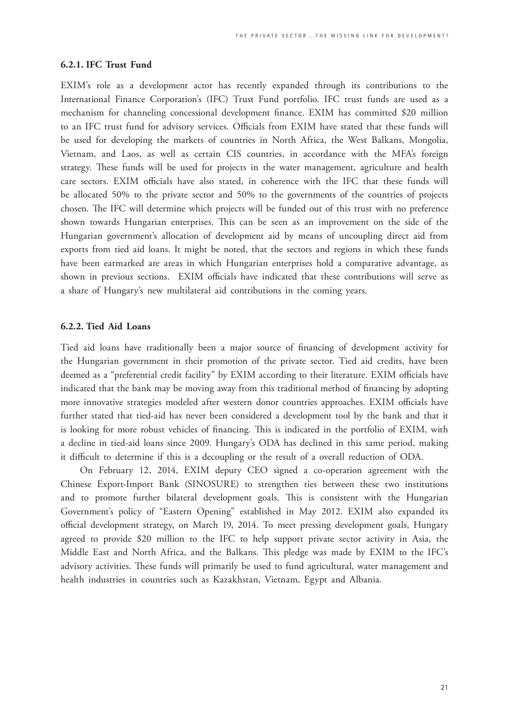#### **6.2.1. IFC Trust Fund**

EXIM's role as a development actor has recently expanded through its contributions to the International Finance Corporation's (IFC) Trust Fund portfolio. IFC trust funds are used as a mechanism for channeling concessional development finance. EXIM has committed \$20 million to an IFC trust fund for advisory services. Officials from EXIM have stated that these funds will be used for developing the markets of countries in North Africa, the West Balkans, Mongolia, Vietnam, and Laos, as well as certain CIS countries, in accordance with the MFA's foreign strategy. These funds will be used for projects in the water management, agriculture and health care sectors. EXIM officials have also stated, in coherence with the IFC that these funds will be allocated 50% to the private sector and 50% to the governments of the countries of projects chosen. The IFC will determine which projects will be funded out of this trust with no preference shown towards Hungarian enterprises. This can be seen as an improvement on the side of the Hungarian government's allocation of development aid by means of uncoupling direct aid from exports from tied aid loans. It might be noted, that the sectors and regions in which these funds have been earmarked are areas in which Hungarian enterprises hold a comparative advantage, as shown in previous sections. EXIM officials have indicated that these contributions will serve as a share of Hungary's new multilateral aid contributions in the coming years.

#### **6.2.2. Tied Aid Loans**

Tied aid loans have traditionally been a major source of financing of development activity for the Hungarian government in their promotion of the private sector. Tied aid credits, have been deemed as a "preferential credit facility" by EXIM according to their literature. EXIM officials have indicated that the bank may be moving away from this traditional method of financing by adopting more innovative strategies modeled after western donor countries approaches. EXIM officials have further stated that tied-aid has never been considered a development tool by the bank and that it is looking for more robust vehicles of financing. This is indicated in the portfolio of EXIM, with a decline in tied-aid loans since 2009. Hungary's ODA has declined in this same period, making it difficult to determine if this is a decoupling or the result of a overall reduction of ODA.

On February 12, 2014, EXIM deputy CEO signed a co-operation agreement with the Chinese Export-Import Bank (SINOSURE) to strengthen ties between these two institutions and to promote further bilateral development goals. This is consistent with the Hungarian Government's policy of "Eastern Opening" established in May 2012. EXIM also expanded its official development strategy, on March 19, 2014. To meet pressing development goals, Hungary agreed to provide \$20 million to the IFC to help support private sector activity in Asia, the Middle East and North Africa, and the Balkans. This pledge was made by EXIM to the IFC's advisory activities. These funds will primarily be used to fund agricultural, water management and health industries in countries such as Kazakhstan, Vietnam, Egypt and Albania.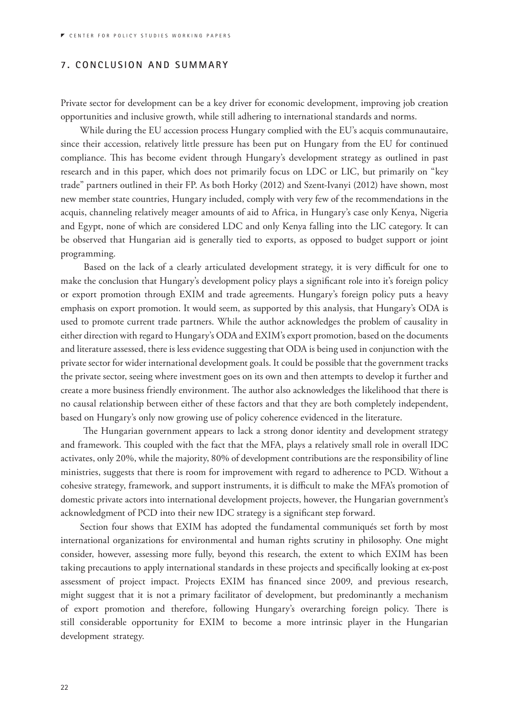#### **7. CONCLUSION AND SUMMARY**

Private sector for development can be a key driver for economic development, improving job creation opportunities and inclusive growth, while still adhering to international standards and norms.

While during the EU accession process Hungary complied with the EU's acquis communautaire, since their accession, relatively little pressure has been put on Hungary from the EU for continued compliance. This has become evident through Hungary's development strategy as outlined in past research and in this paper, which does not primarily focus on LDC or LIC, but primarily on "key trade" partners outlined in their FP. As both Horky (2012) and Szent-Ivanyi (2012) have shown, most new member state countries, Hungary included, comply with very few of the recommendations in the acquis, channeling relatively meager amounts of aid to Africa, in Hungary's case only Kenya, Nigeria and Egypt, none of which are considered LDC and only Kenya falling into the LIC category. It can be observed that Hungarian aid is generally tied to exports, as opposed to budget support or joint programming.

 Based on the lack of a clearly articulated development strategy, it is very difficult for one to make the conclusion that Hungary's development policy plays a significant role into it's foreign policy or export promotion through EXIM and trade agreements. Hungary's foreign policy puts a heavy emphasis on export promotion. It would seem, as supported by this analysis, that Hungary's ODA is used to promote current trade partners. While the author acknowledges the problem of causality in either direction with regard to Hungary's ODA and EXIM's export promotion, based on the documents and literature assessed, there is less evidence suggesting that ODA is being used in conjunction with the private sector for wider international development goals. It could be possible that the government tracks the private sector, seeing where investment goes on its own and then attempts to develop it further and create a more business friendly environment. The author also acknowledges the likelihood that there is no causal relationship between either of these factors and that they are both completely independent, based on Hungary's only now growing use of policy coherence evidenced in the literature.

 The Hungarian government appears to lack a strong donor identity and development strategy and framework. This coupled with the fact that the MFA, plays a relatively small role in overall IDC activates, only 20%, while the majority, 80% of development contributions are the responsibility of line ministries, suggests that there is room for improvement with regard to adherence to PCD. Without a cohesive strategy, framework, and support instruments, it is difficult to make the MFA's promotion of domestic private actors into international development projects, however, the Hungarian government's acknowledgment of PCD into their new IDC strategy is a significant step forward.

Section four shows that EXIM has adopted the fundamental communiqués set forth by most international organizations for environmental and human rights scrutiny in philosophy. One might consider, however, assessing more fully, beyond this research, the extent to which EXIM has been taking precautions to apply international standards in these projects and specifically looking at ex-post assessment of project impact. Projects EXIM has financed since 2009, and previous research, might suggest that it is not a primary facilitator of development, but predominantly a mechanism of export promotion and therefore, following Hungary's overarching foreign policy. There is still considerable opportunity for EXIM to become a more intrinsic player in the Hungarian development strategy.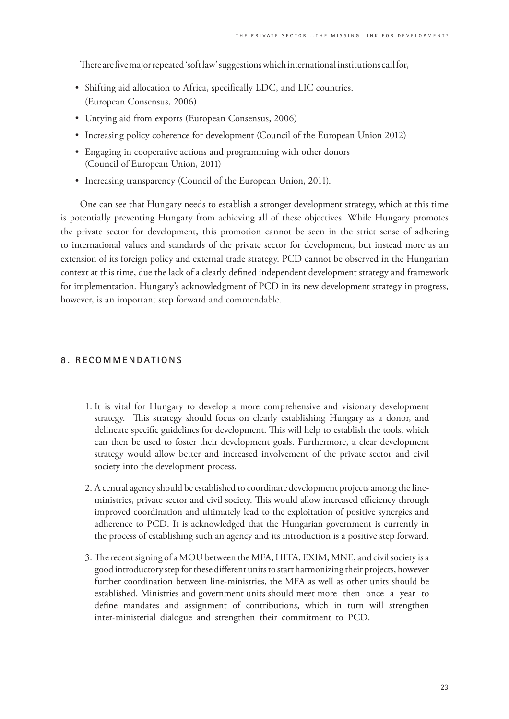There are five major repeated 'soft law' suggestions which international institutions call for,

- Shifting aid allocation to Africa, specifically LDC, and LIC countries. (European Consensus, 2006)
- Untying aid from exports (European Consensus, 2006)
- Increasing policy coherence for development (Council of the European Union 2012)
- Engaging in cooperative actions and programming with other donors (Council of European Union, 2011)
- Increasing transparency (Council of the European Union, 2011).

One can see that Hungary needs to establish a stronger development strategy, which at this time is potentially preventing Hungary from achieving all of these objectives. While Hungary promotes the private sector for development, this promotion cannot be seen in the strict sense of adhering to international values and standards of the private sector for development, but instead more as an extension of its foreign policy and external trade strategy. PCD cannot be observed in the Hungarian context at this time, due the lack of a clearly defined independent development strategy and framework for implementation. Hungary's acknowledgment of PCD in its new development strategy in progress, however, is an important step forward and commendable.

#### **8. RECOMMENDATIONS**

- 1. It is vital for Hungary to develop a more comprehensive and visionary development strategy. This strategy should focus on clearly establishing Hungary as a donor, and delineate specific guidelines for development. This will help to establish the tools, which can then be used to foster their development goals. Furthermore, a clear development strategy would allow better and increased involvement of the private sector and civil society into the development process.
- 2. A central agency should be established to coordinate development projects among the lineministries, private sector and civil society. This would allow increased efficiency through improved coordination and ultimately lead to the exploitation of positive synergies and adherence to PCD. It is acknowledged that the Hungarian government is currently in the process of establishing such an agency and its introduction is a positive step forward.
- 3. The recent signing of a MOU between the MFA, HITA, EXIM, MNE, and civil society is a good introductory step for these different units to start harmonizing their projects, however further coordination between line-ministries, the MFA as well as other units should be established. Ministries and government units should meet more then once a year to define mandates and assignment of contributions, which in turn will strengthen inter-ministerial dialogue and strengthen their commitment to PCD.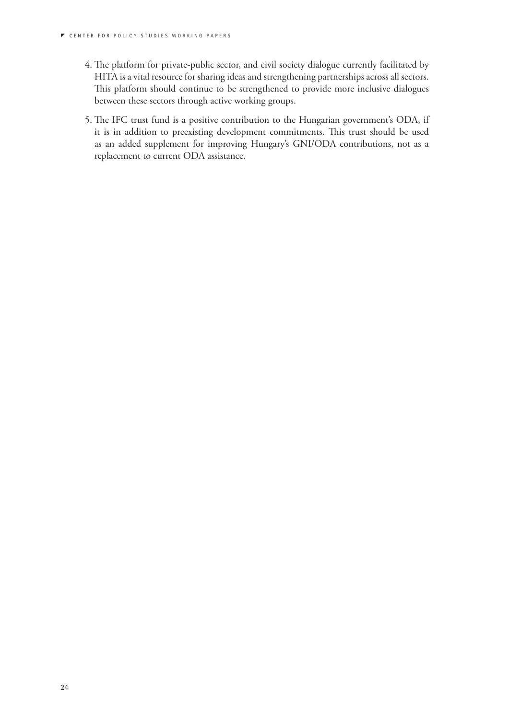- 4. The platform for private-public sector, and civil society dialogue currently facilitated by HITA is a vital resource for sharing ideas and strengthening partnerships across all sectors. This platform should continue to be strengthened to provide more inclusive dialogues between these sectors through active working groups.
- 5. The IFC trust fund is a positive contribution to the Hungarian government's ODA, if it is in addition to preexisting development commitments. This trust should be used as an added supplement for improving Hungary's GNI/ODA contributions, not as a replacement to current ODA assistance.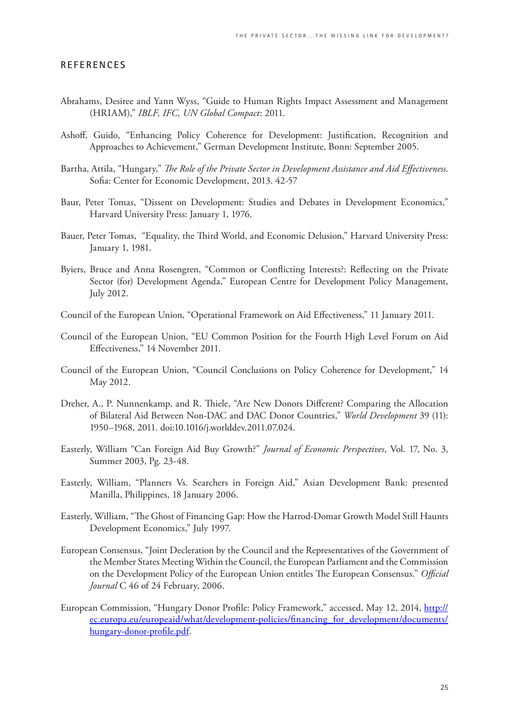#### **REFERENCES**

- Abrahams, Desiree and Yann Wyss, "Guide to Human Rights Impact Assessment and Management (HRIAM)," *IBLF, IFC, UN Global Compact*: 2011.
- Ashoff, Guido, "Enhancing Policy Coherence for Development: Justification, Recognition and Approaches to Achievement," German Development Institute, Bonn: September 2005.
- Bartha, Attila, "Hungary," *The Role of the Private Sector in Development Assistance and Aid Effectiveness*. Sofia: Center for Economic Development, 2013. 42-57
- Baur, Peter Tomas, "Dissent on Development: Studies and Debates in Development Economics," Harvard University Press: January 1, 1976.
- Bauer, Peter Tomas, "Equality, the Third World, and Economic Delusion," Harvard University Press: January 1, 1981.
- Byiers, Bruce and Anna Rosengren, "Common or Conflicting Interests?: Reflecting on the Private Sector (for) Development Agenda," European Centre for Development Policy Management, July 2012.
- Council of the European Union, "Operational Framework on Aid Effectiveness," 11 January 2011.
- Council of the European Union, "EU Common Position for the Fourth High Level Forum on Aid Effectiveness," 14 November 2011.
- Council of the European Union, "Council Conclusions on Policy Coherence for Development," 14 May 2012.
- Dreher, A., P. Nunnenkamp, and R. Thiele, "Are New Donors Different? Comparing the Allocation of Bilateral Aid Between Non-DAC and DAC Donor Countries," *World Development* 39 (11): 1950–1968, 2011. doi:10.1016/j.worlddev.2011.07.024.
- Easterly, William "Can Foreign Aid Buy Growth?" *Journal of Economic Perspectives*, Vol. 17, No. 3, Summer 2003, Pg. 23-48.
- Easterly, William, "Planners Vs. Searchers in Foreign Aid," Asian Development Bank: presented Manilla, Philippines, 18 January 2006.
- Easterly, William, "The Ghost of Financing Gap: How the Harrod-Domar Growth Model Still Haunts Development Economics," July 1997.
- European Consensus, "Joint Decleration by the Council and the Representatives of the Government of the Member States Meeting Within the Council, the European Parliament and the Commission on the Development Policy of the European Union entitles The European Consensus." *Official Journal* C 46 of 24 February, 2006.
- European Commission, "Hungary Donor Profile: Policy Framework," accessed, May 12, 2014, http:// ec.europa.eu/europeaid/what/development-policies/financing\_for\_development/documents/ hungary-donor-profile.pdf.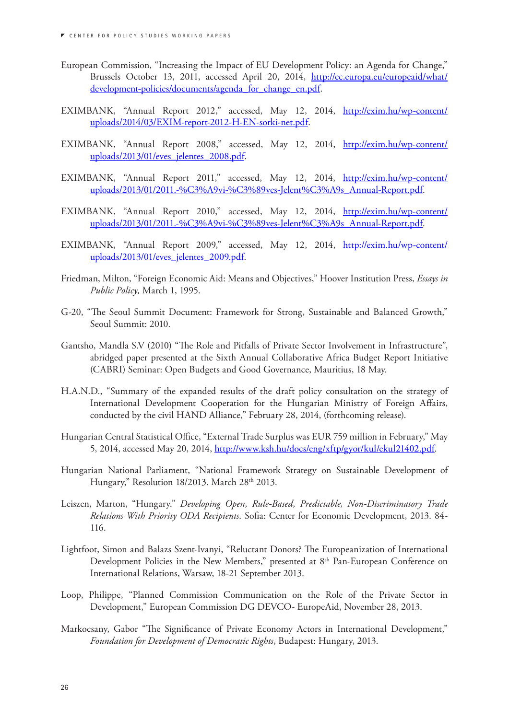- European Commission, "Increasing the Impact of EU Development Policy: an Agenda for Change," Brussels October 13, 2011, accessed April 20, 2014, http://ec.europa.eu/europeaid/what/ development-policies/documents/agenda\_for\_change\_en.pdf.
- EXIMBANK, "Annual Report 2012," accessed, May 12, 2014, http://exim.hu/wp-content/ uploads/2014/03/EXIM-report-2012-H-EN-sorki-net.pdf.
- EXIMBANK, "Annual Report 2008," accessed, May 12, 2014, http://exim.hu/wp-content/ uploads/2013/01/eves\_jelentes\_2008.pdf.
- EXIMBANK, "Annual Report 2011," accessed, May 12, 2014, http://exim.hu/wp-content/ uploads/2013/01/2011.-%C3%A9vi-%C3%89ves-Jelent%C3%A9s\_Annual-Report.pdf.
- EXIMBANK, "Annual Report 2010," accessed, May 12, 2014, http://exim.hu/wp-content/ uploads/2013/01/2011.-%C3%A9vi-%C3%89ves-Jelent%C3%A9s\_Annual-Report.pdf.
- EXIMBANK, "Annual Report 2009," accessed, May 12, 2014, http://exim.hu/wp-content/ uploads/2013/01/eves\_jelentes\_2009.pdf.
- Friedman, Milton, "Foreign Economic Aid: Means and Objectives," Hoover Institution Press, *Essays in Public Policy,* March 1, 1995.
- G-20, "The Seoul Summit Document: Framework for Strong, Sustainable and Balanced Growth," Seoul Summit: 2010.
- Gantsho, Mandla S.V (2010) "The Role and Pitfalls of Private Sector Involvement in Infrastructure", abridged paper presented at the Sixth Annual Collaborative Africa Budget Report Initiative (CABRI) Seminar: Open Budgets and Good Governance, Mauritius, 18 May.
- H.A.N.D., "Summary of the expanded results of the draft policy consultation on the strategy of International Development Cooperation for the Hungarian Ministry of Foreign Affairs, conducted by the civil HAND Alliance," February 28, 2014, (forthcoming release).
- Hungarian Central Statistical Office, "External Trade Surplus was EUR 759 million in February," May 5, 2014, accessed May 20, 2014, http://www.ksh.hu/docs/eng/xftp/gyor/kul/ekul21402.pdf.
- Hungarian National Parliament, "National Framework Strategy on Sustainable Development of Hungary," Resolution 18/2013. March 28th 2013.
- Leiszen, Marton, "Hungary." *Developing Open, Rule-Based, Predictable, Non-Discriminatory Trade Relations With Priority ODA Recipients*. Sofia: Center for Economic Development, 2013. 84- 116.
- Lightfoot, Simon and Balazs Szent-Ivanyi, "Reluctant Donors? The Europeanization of International Development Policies in the New Members," presented at 8<sup>th</sup> Pan-European Conference on International Relations, Warsaw, 18-21 September 2013.
- Loop, Philippe, "Planned Commission Communication on the Role of the Private Sector in Development," European Commission DG DEVCO- EuropeAid, November 28, 2013.
- Markocsany, Gabor "The Significance of Private Economy Actors in International Development," *Foundation for Development of Democratic Rights*, Budapest: Hungary, 2013.